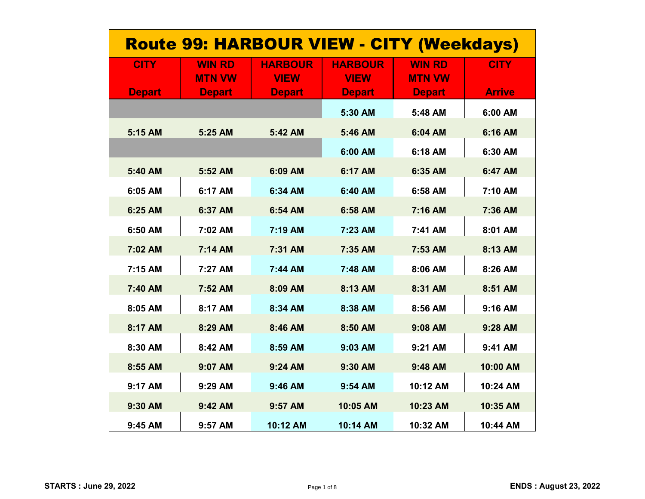| <b>Route 99: HARBOUR VIEW - CITY (Weekdays)</b> |                                |                               |                               |                                |               |  |
|-------------------------------------------------|--------------------------------|-------------------------------|-------------------------------|--------------------------------|---------------|--|
| <b>CITY</b>                                     | <b>WIN RD</b><br><b>MTN VW</b> | <b>HARBOUR</b><br><b>VIEW</b> | <b>HARBOUR</b><br><b>VIEW</b> | <b>WIN RD</b><br><b>MTN VW</b> | <b>CITY</b>   |  |
| <b>Depart</b>                                   | <b>Depart</b>                  | <b>Depart</b>                 | <b>Depart</b>                 | <b>Depart</b>                  | <b>Arrive</b> |  |
|                                                 |                                |                               | 5:30 AM                       | 5:48 AM                        | 6:00 AM       |  |
| 5:15 AM                                         | 5:25 AM                        | 5:42 AM                       | 5:46 AM                       | 6:04 AM                        | 6:16 AM       |  |
|                                                 |                                |                               | 6:00 AM                       | 6:18 AM                        | 6:30 AM       |  |
| 5:40 AM                                         | 5:52 AM                        | 6:09 AM                       | 6:17 AM                       | 6:35 AM                        | 6:47 AM       |  |
| 6:05 AM                                         | 6:17 AM                        | 6:34 AM                       | 6:40 AM                       | 6:58 AM                        | 7:10 AM       |  |
| 6:25 AM                                         | 6:37 AM                        | 6:54 AM                       | 6:58 AM                       | 7:16 AM                        | 7:36 AM       |  |
| 6:50 AM                                         | 7:02 AM                        | 7:19 AM                       | 7:23 AM                       | 7:41 AM                        | 8:01 AM       |  |
| 7:02 AM                                         | 7:14 AM                        | 7:31 AM                       | 7:35 AM                       | 7:53 AM                        | 8:13 AM       |  |
| 7:15 AM                                         | 7:27 AM                        | 7:44 AM                       | 7:48 AM                       | 8:06 AM                        | 8:26 AM       |  |
| 7:40 AM                                         | 7:52 AM                        | 8:09 AM                       | 8:13 AM                       | 8:31 AM                        | 8:51 AM       |  |
| 8:05 AM                                         | 8:17 AM                        | 8:34 AM                       | 8:38 AM                       | 8:56 AM                        | 9:16 AM       |  |
| 8:17 AM                                         | 8:29 AM                        | 8:46 AM                       | 8:50 AM                       | 9:08 AM                        | 9:28 AM       |  |
| 8:30 AM                                         | 8:42 AM                        | 8:59 AM                       | 9:03 AM                       | 9:21 AM                        | 9:41 AM       |  |
| 8:55 AM                                         | 9:07 AM                        | 9:24 AM                       | 9:30 AM                       | 9:48 AM                        | 10:00 AM      |  |
| 9:17 AM                                         | 9:29 AM                        | 9:46 AM                       | 9:54 AM                       | 10:12 AM                       | 10:24 AM      |  |
| 9:30 AM                                         | 9:42 AM                        | 9:57 AM                       | 10:05 AM                      | 10:23 AM                       | 10:35 AM      |  |
| 9:45 AM                                         | 9:57 AM                        | 10:12 AM                      | 10:14 AM                      | 10:32 AM                       | 10:44 AM      |  |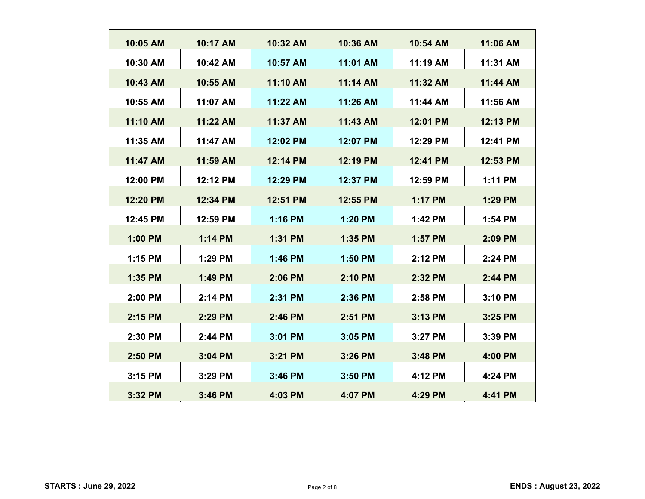| 10:05 AM | 10:17 AM | 10:32 AM | 10:36 AM | 10:54 AM       | 11:06 AM |
|----------|----------|----------|----------|----------------|----------|
| 10:30 AM | 10:42 AM | 10:57 AM | 11:01 AM | 11:19 AM       | 11:31 AM |
| 10:43 AM | 10:55 AM | 11:10 AM | 11:14 AM | 11:32 AM       | 11:44 AM |
| 10:55 AM | 11:07 AM | 11:22 AM | 11:26 AM | 11:44 AM       | 11:56 AM |
| 11:10 AM | 11:22 AM | 11:37 AM | 11:43 AM | 12:01 PM       | 12:13 PM |
| 11:35 AM | 11:47 AM | 12:02 PM | 12:07 PM | 12:29 PM       | 12:41 PM |
| 11:47 AM | 11:59 AM | 12:14 PM | 12:19 PM | 12:41 PM       | 12:53 PM |
| 12:00 PM | 12:12 PM | 12:29 PM | 12:37 PM | 12:59 PM       | 1:11 PM  |
| 12:20 PM | 12:34 PM | 12:51 PM | 12:55 PM | <b>1:17 PM</b> | 1:29 PM  |
|          |          |          |          |                |          |
| 12:45 PM | 12:59 PM | 1:16 PM  | 1:20 PM  | 1:42 PM        | 1:54 PM  |
| 1:00 PM  | 1:14 PM  | 1:31 PM  | 1:35 PM  | 1:57 PM        | 2:09 PM  |
| 1:15 PM  | 1:29 PM  | 1:46 PM  | 1:50 PM  | 2:12 PM        | 2:24 PM  |
| 1:35 PM  | 1:49 PM  | 2:06 PM  | 2:10 PM  | 2:32 PM        | 2:44 PM  |
| 2:00 PM  | 2:14 PM  | 2:31 PM  | 2:36 PM  | 2:58 PM        | 3:10 PM  |
| 2:15 PM  | 2:29 PM  | 2:46 PM  | 2:51 PM  | 3:13 PM        | 3:25 PM  |
| 2:30 PM  | 2:44 PM  | 3:01 PM  | 3:05 PM  | 3:27 PM        | 3:39 PM  |
| 2:50 PM  | 3:04 PM  | 3:21 PM  | 3:26 PM  | 3:48 PM        | 4:00 PM  |
|          |          |          |          |                |          |
| 3:15 PM  | 3:29 PM  | 3:46 PM  | 3:50 PM  | 4:12 PM        | 4:24 PM  |
| 3:32 PM  | 3:46 PM  | 4:03 PM  | 4:07 PM  | 4:29 PM        | 4:41 PM  |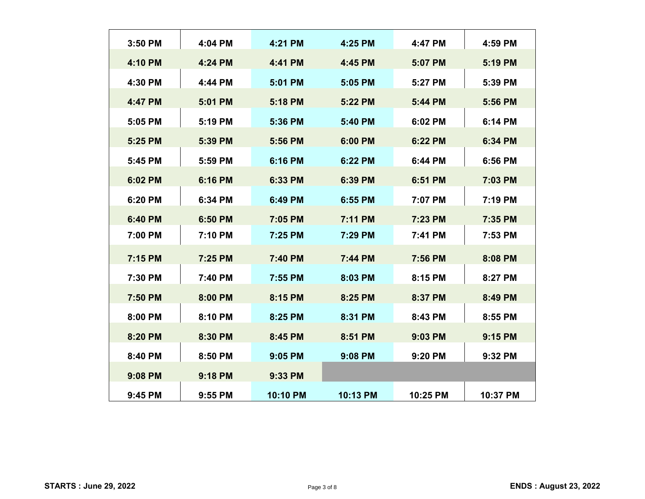| 3:50 PM | 4:04 PM | 4:21 PM  | 4:25 PM  | 4:47 PM  | 4:59 PM  |
|---------|---------|----------|----------|----------|----------|
| 4:10 PM | 4:24 PM | 4:41 PM  | 4:45 PM  | 5:07 PM  | 5:19 PM  |
| 4:30 PM | 4:44 PM | 5:01 PM  | 5:05 PM  | 5:27 PM  | 5:39 PM  |
| 4:47 PM | 5:01 PM | 5:18 PM  | 5:22 PM  | 5:44 PM  | 5:56 PM  |
| 5:05 PM | 5:19 PM | 5:36 PM  | 5:40 PM  | 6:02 PM  | 6:14 PM  |
| 5:25 PM | 5:39 PM | 5:56 PM  | 6:00 PM  | 6:22 PM  | 6:34 PM  |
| 5:45 PM | 5:59 PM | 6:16 PM  | 6:22 PM  | 6:44 PM  | 6:56 PM  |
| 6:02 PM | 6:16 PM | 6:33 PM  | 6:39 PM  | 6:51 PM  | 7:03 PM  |
| 6:20 PM | 6:34 PM | 6:49 PM  | 6:55 PM  | 7:07 PM  | 7:19 PM  |
| 6:40 PM | 6:50 PM | 7:05 PM  | 7:11 PM  | 7:23 PM  | 7:35 PM  |
| 7:00 PM | 7:10 PM | 7:25 PM  | 7:29 PM  | 7:41 PM  | 7:53 PM  |
| 7:15 PM | 7:25 PM | 7:40 PM  | 7:44 PM  | 7:56 PM  | 8:08 PM  |
|         |         |          |          |          |          |
| 7:30 PM | 7:40 PM | 7:55 PM  | 8:03 PM  | 8:15 PM  | 8:27 PM  |
| 7:50 PM | 8:00 PM | 8:15 PM  | 8:25 PM  | 8:37 PM  | 8:49 PM  |
| 8:00 PM | 8:10 PM | 8:25 PM  | 8:31 PM  | 8:43 PM  | 8:55 PM  |
| 8:20 PM | 8:30 PM | 8:45 PM  | 8:51 PM  | 9:03 PM  | 9:15 PM  |
| 8:40 PM | 8:50 PM | 9:05 PM  | 9:08 PM  | 9:20 PM  | 9:32 PM  |
| 9:08 PM | 9:18 PM | 9:33 PM  |          |          |          |
| 9:45 PM | 9:55 PM | 10:10 PM | 10:13 PM | 10:25 PM | 10:37 PM |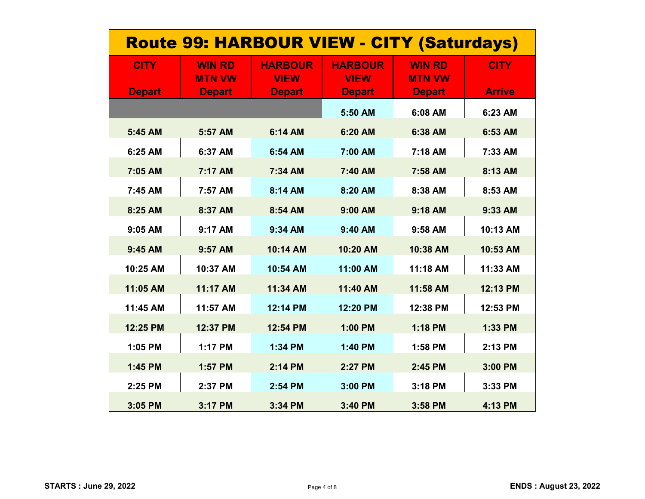| <b>Route 99: HARBOUR VIEW - CITY (Saturdays)</b> |                                |                               |                               |                                |               |  |
|--------------------------------------------------|--------------------------------|-------------------------------|-------------------------------|--------------------------------|---------------|--|
| <b>CITY</b>                                      | <b>WIN RD</b><br><b>MTN VW</b> | <b>HARBOUR</b><br><b>VIEW</b> | <b>HARBOUR</b><br><b>VIEW</b> | <b>WIN RD</b><br><b>MTN VW</b> | <b>CITY</b>   |  |
| <b>Depart</b>                                    | <b>Depart</b>                  | <b>Depart</b>                 | <b>Depart</b>                 | <b>Depart</b>                  | <b>Arrive</b> |  |
|                                                  |                                |                               | 5:50 AM                       | 6:08 AM                        | 6:23 AM       |  |
| 5:45 AM                                          | 5:57 AM                        | 6:14 AM                       | 6:20 AM                       | 6:38 AM                        | 6:53 AM       |  |
| 6:25 AM                                          | 6:37 AM                        | 6:54 AM                       | 7:00 AM                       | 7:18 AM                        | 7:33 AM       |  |
| 7:05 AM                                          | 7:17 AM                        | 7:34 AM                       | 7:40 AM                       | 7:58 AM                        | 8:13 AM       |  |
| 7:45 AM                                          | 7:57 AM                        | 8:14 AM                       | 8:20 AM                       | 8:38 AM                        | 8:53 AM       |  |
| 8:25 AM                                          | 8:37 AM                        | 8:54 AM                       | 9:00 AM                       | 9:18 AM                        | 9:33 AM       |  |
| 9:05 AM                                          | 9:17 AM                        | 9:34 AM                       | 9:40 AM                       | 9:58 AM                        | 10:13 AM      |  |
| 9:45 AM                                          | 9:57 AM                        | 10:14 AM                      | 10:20 AM                      | 10:38 AM                       | 10:53 AM      |  |
| 10:25 AM                                         | 10:37 AM                       | 10:54 AM                      | 11:00 AM                      | 11:18 AM                       | 11:33 AM      |  |
| 11:05 AM                                         | 11:17 AM                       | 11:34 AM                      | 11:40 AM                      | 11:58 AM                       | 12:13 PM      |  |
| 11:45 AM                                         | 11:57 AM                       | 12:14 PM                      | 12:20 PM                      | 12:38 PM                       | 12:53 PM      |  |
| 12:25 PM                                         | 12:37 PM                       | 12:54 PM                      | 1:00 PM                       | 1:18 PM                        | 1:33 PM       |  |
| 1:05 PM                                          | 1:17 PM                        | 1:34 PM                       | 1:40 PM                       | 1:58 PM                        | 2:13 PM       |  |
| 1:45 PM                                          | 1:57 PM                        | 2:14 PM                       | 2:27 PM                       | 2:45 PM                        | 3:00 PM       |  |
| 2:25 PM                                          | 2:37 PM                        | 2:54 PM                       | 3:00 PM                       | 3:18 PM                        | 3:33 PM       |  |
| 3:05 PM                                          | 3:17 PM                        | 3:34 PM                       | 3:40 PM                       | 3:58 PM                        | 4:13 PM       |  |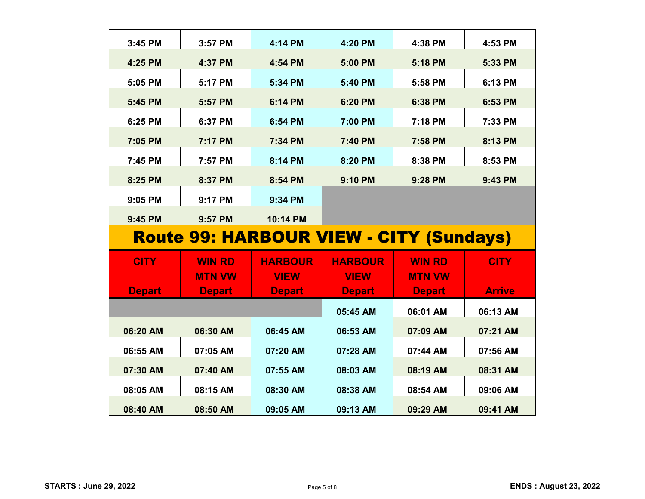| 3:45 PM       | 3:57 PM       | 4:14 PM        | 4:20 PM                                        | 4:38 PM       | 4:53 PM       |
|---------------|---------------|----------------|------------------------------------------------|---------------|---------------|
| 4:25 PM       | 4:37 PM       | 4:54 PM        | 5:00 PM                                        | 5:18 PM       | 5:33 PM       |
| 5:05 PM       | 5:17 PM       | 5:34 PM        | 5:40 PM                                        | 5:58 PM       | 6:13 PM       |
| 5:45 PM       | 5:57 PM       | 6:14 PM        | 6:20 PM                                        | 6:38 PM       | 6:53 PM       |
| 6:25 PM       | 6:37 PM       | 6:54 PM        | 7:00 PM                                        | 7:18 PM       | 7:33 PM       |
| 7:05 PM       | 7:17 PM       | 7:34 PM        | 7:40 PM                                        | 7:58 PM       | 8:13 PM       |
| 7:45 PM       | 7:57 PM       | 8:14 PM        | 8:20 PM                                        | 8:38 PM       | 8:53 PM       |
| 8:25 PM       | 8:37 PM       | 8:54 PM        | 9:10 PM                                        | 9:28 PM       | 9:43 PM       |
| 9:05 PM       | 9:17 PM       | 9:34 PM        |                                                |               |               |
| 9:45 PM       | 9:57 PM       | 10:14 PM       |                                                |               |               |
|               |               |                | <b>Route 99: HARBOUR VIEW - CITY (Sundays)</b> |               |               |
|               |               |                |                                                |               |               |
| <b>CITY</b>   | <b>WIN RD</b> | <b>HARBOUR</b> | <b>HARBOUR</b>                                 | <b>WIN RD</b> | <b>CITY</b>   |
|               | <b>MTN VW</b> | <b>VIEW</b>    | <b>VIEW</b>                                    | <b>MTN VW</b> |               |
| <b>Depart</b> | <b>Depart</b> | <b>Depart</b>  | <b>Depart</b>                                  | <b>Depart</b> | <b>Arrive</b> |
|               |               |                | 05:45 AM                                       | 06:01 AM      | 06:13 AM      |
| 06:20 AM      | 06:30 AM      | 06:45 AM       | 06:53 AM                                       | 07:09 AM      | 07:21 AM      |
| 06:55 AM      | 07:05 AM      | 07:20 AM       | 07:28 AM                                       | 07:44 AM      | 07:56 AM      |
| 07:30 AM      | 07:40 AM      | 07:55 AM       | 08:03 AM                                       | 08:19 AM      | 08:31 AM      |
| 08:05 AM      | 08:15 AM      | 08:30 AM       | 08:38 AM                                       | 08:54 AM      | 09:06 AM      |
| 08:40 AM      | 08:50 AM      | 09:05 AM       | 09:13 AM                                       | 09:29 AM      | 09:41 AM      |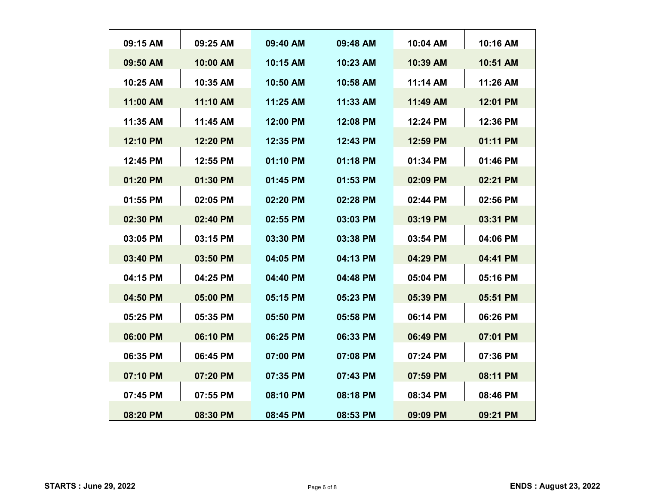| 09:15 AM | 09:25 AM | 09:40 AM | 09:48 AM | 10:04 AM | 10:16 AM |
|----------|----------|----------|----------|----------|----------|
| 09:50 AM | 10:00 AM | 10:15 AM | 10:23 AM | 10:39 AM | 10:51 AM |
| 10:25 AM | 10:35 AM | 10:50 AM | 10:58 AM | 11:14 AM | 11:26 AM |
| 11:00 AM | 11:10 AM | 11:25 AM | 11:33 AM | 11:49 AM | 12:01 PM |
| 11:35 AM | 11:45 AM | 12:00 PM | 12:08 PM | 12:24 PM | 12:36 PM |
| 12:10 PM | 12:20 PM | 12:35 PM | 12:43 PM | 12:59 PM | 01:11 PM |
| 12:45 PM | 12:55 PM | 01:10 PM | 01:18 PM | 01:34 PM | 01:46 PM |
| 01:20 PM | 01:30 PM | 01:45 PM | 01:53 PM | 02:09 PM | 02:21 PM |
| 01:55 PM | 02:05 PM | 02:20 PM | 02:28 PM | 02:44 PM | 02:56 PM |
| 02:30 PM | 02:40 PM | 02:55 PM | 03:03 PM | 03:19 PM | 03:31 PM |
| 03:05 PM | 03:15 PM | 03:30 PM | 03:38 PM | 03:54 PM | 04:06 PM |
| 03:40 PM | 03:50 PM | 04:05 PM | 04:13 PM | 04:29 PM | 04:41 PM |
| 04:15 PM | 04:25 PM | 04:40 PM | 04:48 PM | 05:04 PM | 05:16 PM |
| 04:50 PM | 05:00 PM | 05:15 PM | 05:23 PM | 05:39 PM | 05:51 PM |
| 05:25 PM | 05:35 PM | 05:50 PM | 05:58 PM | 06:14 PM | 06:26 PM |
| 06:00 PM | 06:10 PM | 06:25 PM | 06:33 PM | 06:49 PM | 07:01 PM |
| 06:35 PM | 06:45 PM | 07:00 PM | 07:08 PM | 07:24 PM | 07:36 PM |
| 07:10 PM | 07:20 PM | 07:35 PM | 07:43 PM | 07:59 PM | 08:11 PM |
| 07:45 PM | 07:55 PM | 08:10 PM | 08:18 PM | 08:34 PM | 08:46 PM |
| 08:20 PM | 08:30 PM | 08:45 PM | 08:53 PM | 09:09 PM | 09:21 PM |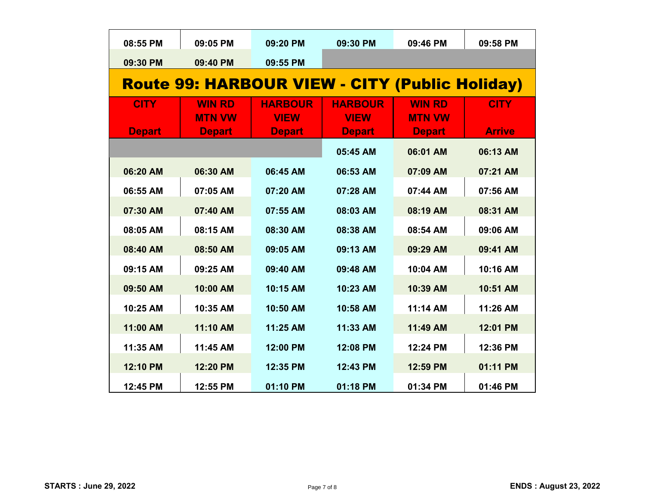| 08:55 PM      | 09:05 PM      | 09:20 PM                                              | 09:30 PM       | 09:46 PM      | 09:58 PM      |
|---------------|---------------|-------------------------------------------------------|----------------|---------------|---------------|
| 09:30 PM      | 09:40 PM      | 09:55 PM                                              |                |               |               |
|               |               | <b>Route 99: HARBOUR VIEW - CITY (Public Holiday)</b> |                |               |               |
| <b>CITY</b>   | <b>WIN RD</b> | <b>HARBOUR</b>                                        | <b>HARBOUR</b> | <b>WIN RD</b> | <b>CITY</b>   |
|               | <b>MTN VW</b> | <b>VIEW</b>                                           | <b>VIEW</b>    | <b>MTN VW</b> |               |
| <b>Depart</b> | <b>Depart</b> | <b>Depart</b>                                         | <b>Depart</b>  | <b>Depart</b> | <b>Arrive</b> |
|               |               |                                                       | 05:45 AM       | 06:01 AM      | 06:13 AM      |
| 06:20 AM      | 06:30 AM      | 06:45 AM                                              | 06:53 AM       | 07:09 AM      | 07:21 AM      |
| 06:55 AM      | 07:05 AM      | 07:20 AM                                              | 07:28 AM       | 07:44 AM      | 07:56 AM      |
| 07:30 AM      | 07:40 AM      | 07:55 AM                                              | 08:03 AM       | 08:19 AM      | 08:31 AM      |
| 08:05 AM      | 08:15 AM      | 08:30 AM                                              | 08:38 AM       | 08:54 AM      | 09:06 AM      |
| 08:40 AM      | 08:50 AM      | 09:05 AM                                              | 09:13 AM       | 09:29 AM      | 09:41 AM      |
| 09:15 AM      | 09:25 AM      | 09:40 AM                                              | 09:48 AM       | 10:04 AM      | 10:16 AM      |
| 09:50 AM      | 10:00 AM      | 10:15 AM                                              | 10:23 AM       | 10:39 AM      | 10:51 AM      |
| 10:25 AM      | 10:35 AM      | 10:50 AM                                              | 10:58 AM       | 11:14 AM      | 11:26 AM      |
| 11:00 AM      | 11:10 AM      | 11:25 AM                                              | 11:33 AM       | 11:49 AM      | 12:01 PM      |
| 11:35 AM      | 11:45 AM      | 12:00 PM                                              | 12:08 PM       | 12:24 PM      | 12:36 PM      |
| 12:10 PM      | 12:20 PM      | 12:35 PM                                              | 12:43 PM       | 12:59 PM      | 01:11 PM      |
| 12:45 PM      | 12:55 PM      | 01:10 PM                                              | 01:18 PM       | 01:34 PM      | 01:46 PM      |